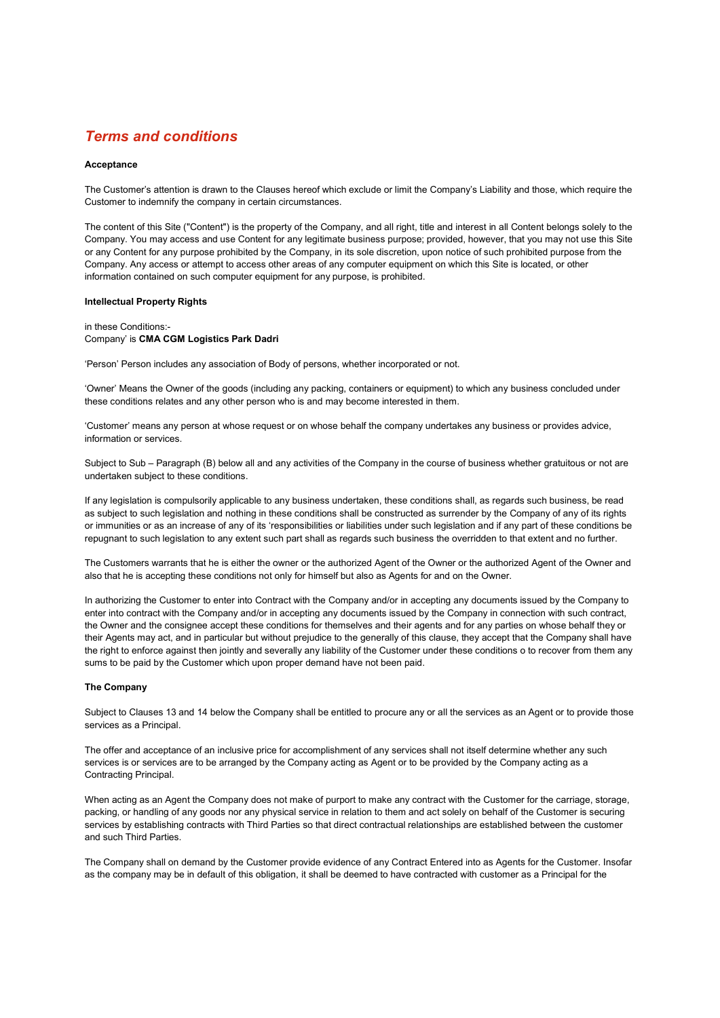# Terms and conditions

#### **Acceptance**

The Customer's attention is drawn to the Clauses hereof which exclude or limit the Company's Liability and those, which require the Customer to indemnify the company in certain circumstances.

The content of this Site ("Content") is the property of the Company, and all right, title and interest in all Content belongs solely to the Company. You may access and use Content for any legitimate business purpose; provided, however, that you may not use this Site or any Content for any purpose prohibited by the Company, in its sole discretion, upon notice of such prohibited purpose from the Company. Any access or attempt to access other areas of any computer equipment on which this Site is located, or other information contained on such computer equipment for any purpose, is prohibited.

#### Intellectual Property Rights

in these Conditions:- Company' is CMA CGM Logistics Park Dadri

'Person' Person includes any association of Body of persons, whether incorporated or not.

'Owner' Means the Owner of the goods (including any packing, containers or equipment) to which any business concluded under these conditions relates and any other person who is and may become interested in them.

'Customer' means any person at whose request or on whose behalf the company undertakes any business or provides advice, information or services.

Subject to Sub – Paragraph (B) below all and any activities of the Company in the course of business whether gratuitous or not are undertaken subject to these conditions.

If any legislation is compulsorily applicable to any business undertaken, these conditions shall, as regards such business, be read as subject to such legislation and nothing in these conditions shall be constructed as surrender by the Company of any of its rights or immunities or as an increase of any of its 'responsibilities or liabilities under such legislation and if any part of these conditions be repugnant to such legislation to any extent such part shall as regards such business the overridden to that extent and no further.

The Customers warrants that he is either the owner or the authorized Agent of the Owner or the authorized Agent of the Owner and also that he is accepting these conditions not only for himself but also as Agents for and on the Owner.

In authorizing the Customer to enter into Contract with the Company and/or in accepting any documents issued by the Company to enter into contract with the Company and/or in accepting any documents issued by the Company in connection with such contract, the Owner and the consignee accept these conditions for themselves and their agents and for any parties on whose behalf they or their Agents may act, and in particular but without prejudice to the generally of this clause, they accept that the Company shall have the right to enforce against then jointly and severally any liability of the Customer under these conditions o to recover from them any sums to be paid by the Customer which upon proper demand have not been paid.

#### The Company

Subject to Clauses 13 and 14 below the Company shall be entitled to procure any or all the services as an Agent or to provide those services as a Principal.

The offer and acceptance of an inclusive price for accomplishment of any services shall not itself determine whether any such services is or services are to be arranged by the Company acting as Agent or to be provided by the Company acting as a Contracting Principal.

When acting as an Agent the Company does not make of purport to make any contract with the Customer for the carriage, storage, packing, or handling of any goods nor any physical service in relation to them and act solely on behalf of the Customer is securing services by establishing contracts with Third Parties so that direct contractual relationships are established between the customer and such Third Parties.

The Company shall on demand by the Customer provide evidence of any Contract Entered into as Agents for the Customer. Insofar as the company may be in default of this obligation, it shall be deemed to have contracted with customer as a Principal for the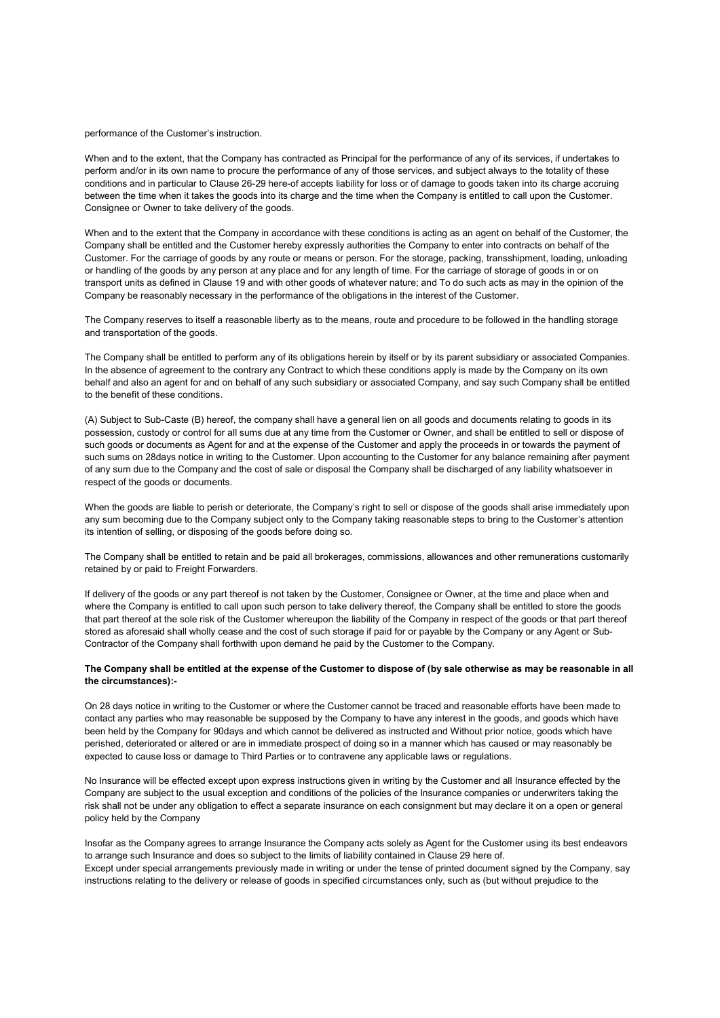performance of the Customer's instruction.

When and to the extent, that the Company has contracted as Principal for the performance of any of its services, if undertakes to perform and/or in its own name to procure the performance of any of those services, and subject always to the totality of these conditions and in particular to Clause 26-29 here-of accepts liability for loss or of damage to goods taken into its charge accruing between the time when it takes the goods into its charge and the time when the Company is entitled to call upon the Customer. Consignee or Owner to take delivery of the goods.

When and to the extent that the Company in accordance with these conditions is acting as an agent on behalf of the Customer, the Company shall be entitled and the Customer hereby expressly authorities the Company to enter into contracts on behalf of the Customer. For the carriage of goods by any route or means or person. For the storage, packing, transshipment, loading, unloading or handling of the goods by any person at any place and for any length of time. For the carriage of storage of goods in or on transport units as defined in Clause 19 and with other goods of whatever nature; and To do such acts as may in the opinion of the Company be reasonably necessary in the performance of the obligations in the interest of the Customer.

The Company reserves to itself a reasonable liberty as to the means, route and procedure to be followed in the handling storage and transportation of the goods.

The Company shall be entitled to perform any of its obligations herein by itself or by its parent subsidiary or associated Companies. In the absence of agreement to the contrary any Contract to which these conditions apply is made by the Company on its own behalf and also an agent for and on behalf of any such subsidiary or associated Company, and say such Company shall be entitled to the benefit of these conditions.

(A) Subject to Sub-Caste (B) hereof, the company shall have a general lien on all goods and documents relating to goods in its possession, custody or control for all sums due at any time from the Customer or Owner, and shall be entitled to sell or dispose of such goods or documents as Agent for and at the expense of the Customer and apply the proceeds in or towards the payment of such sums on 28days notice in writing to the Customer. Upon accounting to the Customer for any balance remaining after payment of any sum due to the Company and the cost of sale or disposal the Company shall be discharged of any liability whatsoever in respect of the goods or documents.

When the goods are liable to perish or deteriorate, the Company's right to sell or dispose of the goods shall arise immediately upon any sum becoming due to the Company subject only to the Company taking reasonable steps to bring to the Customer's attention its intention of selling, or disposing of the goods before doing so.

The Company shall be entitled to retain and be paid all brokerages, commissions, allowances and other remunerations customarily retained by or paid to Freight Forwarders.

If delivery of the goods or any part thereof is not taken by the Customer, Consignee or Owner, at the time and place when and where the Company is entitled to call upon such person to take delivery thereof, the Company shall be entitled to store the goods that part thereof at the sole risk of the Customer whereupon the liability of the Company in respect of the goods or that part thereof stored as aforesaid shall wholly cease and the cost of such storage if paid for or payable by the Company or any Agent or Sub-Contractor of the Company shall forthwith upon demand he paid by the Customer to the Company.

## The Company shall be entitled at the expense of the Customer to dispose of (by sale otherwise as may be reasonable in all the circumstances):-

On 28 days notice in writing to the Customer or where the Customer cannot be traced and reasonable efforts have been made to contact any parties who may reasonable be supposed by the Company to have any interest in the goods, and goods which have been held by the Company for 90days and which cannot be delivered as instructed and Without prior notice, goods which have perished, deteriorated or altered or are in immediate prospect of doing so in a manner which has caused or may reasonably be expected to cause loss or damage to Third Parties or to contravene any applicable laws or regulations.

No Insurance will be effected except upon express instructions given in writing by the Customer and all Insurance effected by the Company are subject to the usual exception and conditions of the policies of the Insurance companies or underwriters taking the risk shall not be under any obligation to effect a separate insurance on each consignment but may declare it on a open or general policy held by the Company

Insofar as the Company agrees to arrange Insurance the Company acts solely as Agent for the Customer using its best endeavors to arrange such Insurance and does so subject to the limits of liability contained in Clause 29 here of. Except under special arrangements previously made in writing or under the tense of printed document signed by the Company, say instructions relating to the delivery or release of goods in specified circumstances only, such as (but without prejudice to the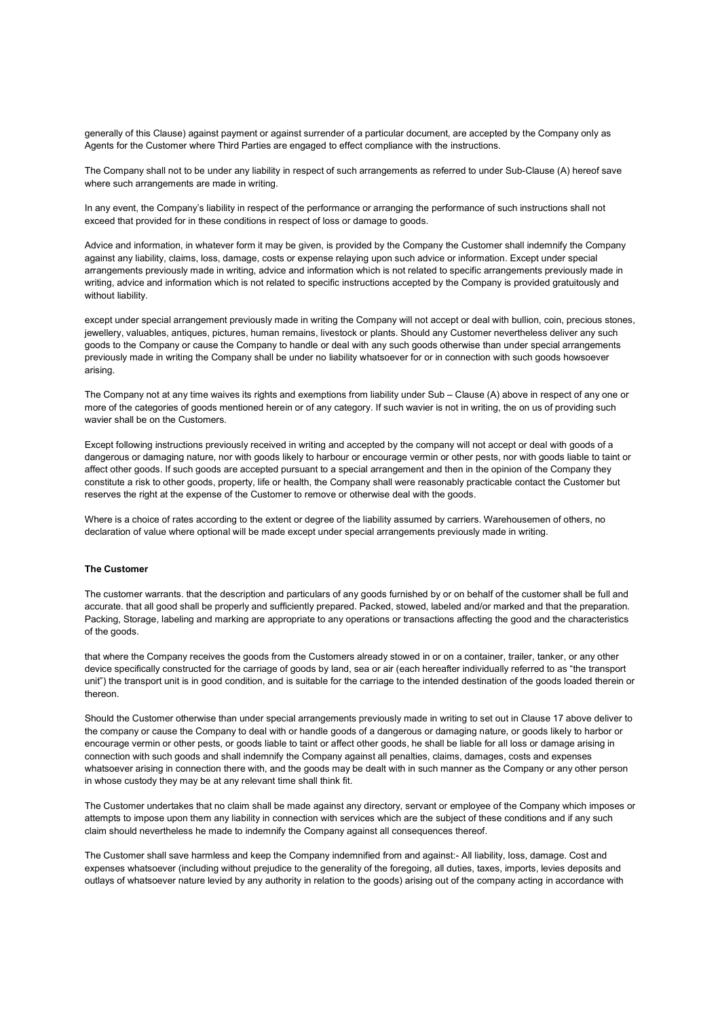generally of this Clause) against payment or against surrender of a particular document, are accepted by the Company only as Agents for the Customer where Third Parties are engaged to effect compliance with the instructions.

The Company shall not to be under any liability in respect of such arrangements as referred to under Sub-Clause (A) hereof save where such arrangements are made in writing.

In any event, the Company's liability in respect of the performance or arranging the performance of such instructions shall not exceed that provided for in these conditions in respect of loss or damage to goods.

Advice and information, in whatever form it may be given, is provided by the Company the Customer shall indemnify the Company against any liability, claims, loss, damage, costs or expense relaying upon such advice or information. Except under special arrangements previously made in writing, advice and information which is not related to specific arrangements previously made in writing, advice and information which is not related to specific instructions accepted by the Company is provided gratuitously and without liability.

except under special arrangement previously made in writing the Company will not accept or deal with bullion, coin, precious stones, jewellery, valuables, antiques, pictures, human remains, livestock or plants. Should any Customer nevertheless deliver any such goods to the Company or cause the Company to handle or deal with any such goods otherwise than under special arrangements previously made in writing the Company shall be under no liability whatsoever for or in connection with such goods howsoever arising.

The Company not at any time waives its rights and exemptions from liability under Sub – Clause (A) above in respect of any one or more of the categories of goods mentioned herein or of any category. If such wavier is not in writing, the on us of providing such wavier shall be on the Customers.

Except following instructions previously received in writing and accepted by the company will not accept or deal with goods of a dangerous or damaging nature, nor with goods likely to harbour or encourage vermin or other pests, nor with goods liable to taint or affect other goods. If such goods are accepted pursuant to a special arrangement and then in the opinion of the Company they constitute a risk to other goods, property, life or health, the Company shall were reasonably practicable contact the Customer but reserves the right at the expense of the Customer to remove or otherwise deal with the goods.

Where is a choice of rates according to the extent or degree of the liability assumed by carriers. Warehousemen of others, no declaration of value where optional will be made except under special arrangements previously made in writing.

### The Customer

The customer warrants. that the description and particulars of any goods furnished by or on behalf of the customer shall be full and accurate. that all good shall be properly and sufficiently prepared. Packed, stowed, labeled and/or marked and that the preparation. Packing, Storage, labeling and marking are appropriate to any operations or transactions affecting the good and the characteristics of the goods.

that where the Company receives the goods from the Customers already stowed in or on a container, trailer, tanker, or any other device specifically constructed for the carriage of goods by land, sea or air (each hereafter individually referred to as "the transport unit") the transport unit is in good condition, and is suitable for the carriage to the intended destination of the goods loaded therein or thereon.

Should the Customer otherwise than under special arrangements previously made in writing to set out in Clause 17 above deliver to the company or cause the Company to deal with or handle goods of a dangerous or damaging nature, or goods likely to harbor or encourage vermin or other pests, or goods liable to taint or affect other goods, he shall be liable for all loss or damage arising in connection with such goods and shall indemnify the Company against all penalties, claims, damages, costs and expenses whatsoever arising in connection there with, and the goods may be dealt with in such manner as the Company or any other person in whose custody they may be at any relevant time shall think fit.

The Customer undertakes that no claim shall be made against any directory, servant or employee of the Company which imposes or attempts to impose upon them any liability in connection with services which are the subject of these conditions and if any such claim should nevertheless he made to indemnify the Company against all consequences thereof.

The Customer shall save harmless and keep the Company indemnified from and against:- All liability, loss, damage. Cost and expenses whatsoever (including without prejudice to the generality of the foregoing, all duties, taxes, imports, levies deposits and outlays of whatsoever nature levied by any authority in relation to the goods) arising out of the company acting in accordance with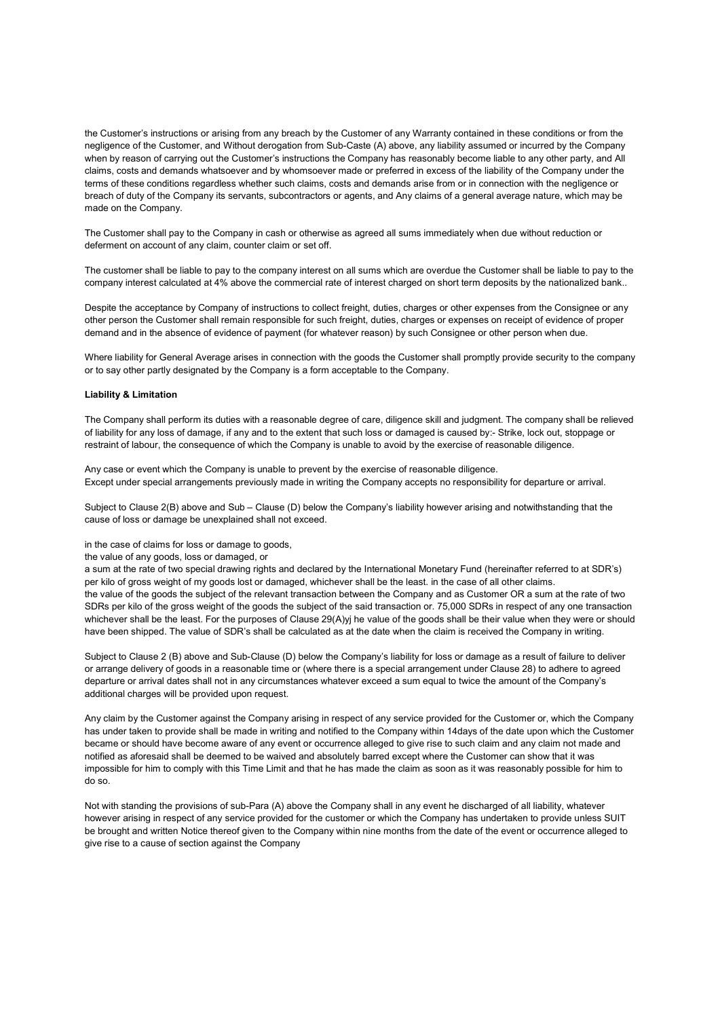the Customer's instructions or arising from any breach by the Customer of any Warranty contained in these conditions or from the negligence of the Customer, and Without derogation from Sub-Caste (A) above, any liability assumed or incurred by the Company when by reason of carrying out the Customer's instructions the Company has reasonably become liable to any other party, and All claims, costs and demands whatsoever and by whomsoever made or preferred in excess of the liability of the Company under the terms of these conditions regardless whether such claims, costs and demands arise from or in connection with the negligence or breach of duty of the Company its servants, subcontractors or agents, and Any claims of a general average nature, which may be made on the Company.

The Customer shall pay to the Company in cash or otherwise as agreed all sums immediately when due without reduction or deferment on account of any claim, counter claim or set off.

The customer shall be liable to pay to the company interest on all sums which are overdue the Customer shall be liable to pay to the company interest calculated at 4% above the commercial rate of interest charged on short term deposits by the nationalized bank..

Despite the acceptance by Company of instructions to collect freight, duties, charges or other expenses from the Consignee or any other person the Customer shall remain responsible for such freight, duties, charges or expenses on receipt of evidence of proper demand and in the absence of evidence of payment (for whatever reason) by such Consignee or other person when due.

Where liability for General Average arises in connection with the goods the Customer shall promptly provide security to the company or to say other partly designated by the Company is a form acceptable to the Company.

## Liability & Limitation

The Company shall perform its duties with a reasonable degree of care, diligence skill and judgment. The company shall be relieved of liability for any loss of damage, if any and to the extent that such loss or damaged is caused by:- Strike, lock out, stoppage or restraint of labour, the consequence of which the Company is unable to avoid by the exercise of reasonable diligence.

Any case or event which the Company is unable to prevent by the exercise of reasonable diligence. Except under special arrangements previously made in writing the Company accepts no responsibility for departure or arrival.

Subject to Clause 2(B) above and Sub – Clause (D) below the Company's liability however arising and notwithstanding that the cause of loss or damage be unexplained shall not exceed.

in the case of claims for loss or damage to goods,

the value of any goods, loss or damaged, or

a sum at the rate of two special drawing rights and declared by the International Monetary Fund (hereinafter referred to at SDR's) per kilo of gross weight of my goods lost or damaged, whichever shall be the least. in the case of all other claims. the value of the goods the subject of the relevant transaction between the Company and as Customer OR a sum at the rate of two SDRs per kilo of the gross weight of the goods the subject of the said transaction or. 75,000 SDRs in respect of any one transaction whichever shall be the least. For the purposes of Clause 29(A)yj he value of the goods shall be their value when they were or should have been shipped. The value of SDR's shall be calculated as at the date when the claim is received the Company in writing.

Subject to Clause 2 (B) above and Sub-Clause (D) below the Company's liability for loss or damage as a result of failure to deliver or arrange delivery of goods in a reasonable time or (where there is a special arrangement under Clause 28) to adhere to agreed departure or arrival dates shall not in any circumstances whatever exceed a sum equal to twice the amount of the Company's additional charges will be provided upon request.

Any claim by the Customer against the Company arising in respect of any service provided for the Customer or, which the Company has under taken to provide shall be made in writing and notified to the Company within 14days of the date upon which the Customer became or should have become aware of any event or occurrence alleged to give rise to such claim and any claim not made and notified as aforesaid shall be deemed to be waived and absolutely barred except where the Customer can show that it was impossible for him to comply with this Time Limit and that he has made the claim as soon as it was reasonably possible for him to do so.

Not with standing the provisions of sub-Para (A) above the Company shall in any event he discharged of all liability, whatever however arising in respect of any service provided for the customer or which the Company has undertaken to provide unless SUIT be brought and written Notice thereof given to the Company within nine months from the date of the event or occurrence alleged to give rise to a cause of section against the Company